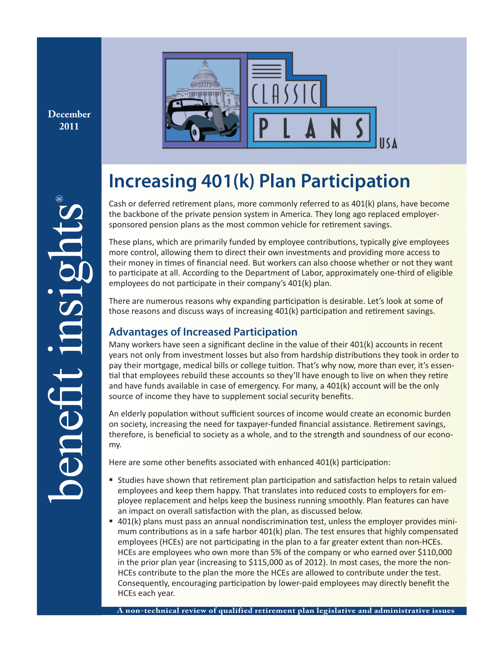**December 2011**



# **Increasing 401(k) Plan Participation**

Cash or deferred retirement plans, more commonly referred to as  $401(k)$  plans, have become the backbone of the private pension system in America. They long ago replaced employersponsored pension plans as the most common vehicle for retirement savings.

These plans, which are primarily funded by employee contributions, typically give employees more control, allowing them to direct their own investments and providing more access to their money in times of financial need. But workers can also choose whether or not they want to participate at all. According to the Department of Labor, approximately one-third of eligible employees do not participate in their company's 401(k) plan.

There are numerous reasons why expanding participation is desirable. Let's look at some of those reasons and discuss ways of increasing 401(k) participation and retirement savings.

# **Advantages of Increased Participation**

Many workers have seen a significant decline in the value of their  $401(k)$  accounts in recent years not only from investment losses but also from hardship distributions they took in order to pay their mortgage, medical bills or college tuition. That's why now, more than ever, it's essential that employees rebuild these accounts so they'll have enough to live on when they retire and have funds available in case of emergency. For many, a  $401(k)$  account will be the only source of income they have to supplement social security benefits.

An elderly population without sufficient sources of income would create an economic burden on society, increasing the need for taxpayer-funded financial assistance. Retirement savings, therefore, is beneficial to society as a whole, and to the strength and soundness of our economy.

Here are some other benefits associated with enhanced 401(k) participation:

- Studies have shown that retirement plan participation and satisfaction helps to retain valued employees and keep them happy. That translates into reduced costs to employers for employee replacement and helps keep the business running smoothly. Plan features can have an impact on overall satisfaction with the plan, as discussed below.
- 401(k) plans must pass an annual nondiscrimination test, unless the employer provides minimum contributions as in a safe harbor  $401(k)$  plan. The test ensures that highly compensated employees (HCEs) are not participating in the plan to a far greater extent than non-HCEs. HCEs are employees who own more than 5% of the company or who earned over \$110,000 in the prior plan year (increasing to \$115,000 as of 2012). In most cases, the more the non-HCEs contribute to the plan the more the HCEs are allowed to contribute under the test. Consequently, encouraging participation by lower-paid employees may directly benefit the HCEs each year.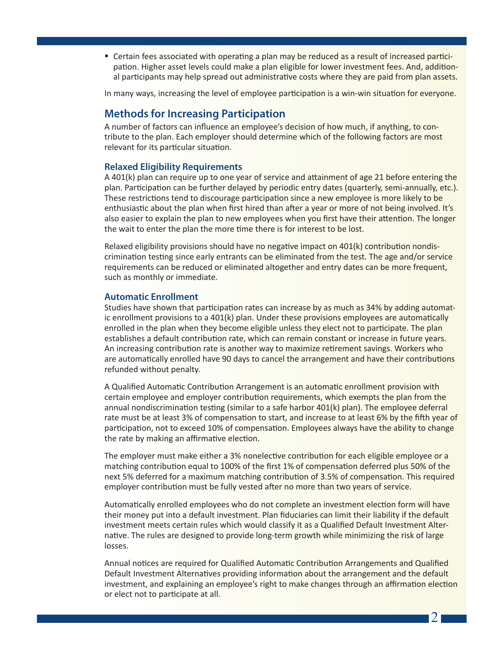" Certain fees associated with operating a plan may be reduced as a result of increased participation. Higher asset levels could make a plan eligible for lower investment fees. And, additional participants may help spread out administrative costs where they are paid from plan assets.

In many ways, increasing the level of employee participation is a win-win situation for everyone.

# **Methods for Increasing Participation**

A number of factors can influence an employee's decision of how much, if anything, to contribute to the plan. Each employer should determine which of the following factors are most relevant for its particular situation.

## **Relaxed Eligibility Requirements**

A 401(k) plan can require up to one year of service and attainment of age 21 before entering the plan. Participation can be further delayed by periodic entry dates (quarterly, semi-annually, etc.). These restrictions tend to discourage participation since a new employee is more likely to be enthusiastic about the plan when first hired than after a year or more of not being involved. It's also easier to explain the plan to new employees when you first have their attention. The longer the wait to enter the plan the more time there is for interest to be lost.

Relaxed eligibility provisions should have no negative impact on  $401(k)$  contribution nondiscrimination testing since early entrants can be eliminated from the test. The age and/or service requirements can be reduced or eliminated altogether and entry dates can be more frequent, such as monthly or immediate.

## **Automatic Enrollment**

Studies have shown that participation rates can increase by as much as 34% by adding automatic enrollment provisions to a  $401(k)$  plan. Under these provisions employees are automatically enrolled in the plan when they become eligible unless they elect not to participate. The plan establishes a default contribution rate, which can remain constant or increase in future years. An increasing contribution rate is another way to maximize retirement savings. Workers who are automatically enrolled have 90 days to cancel the arrangement and have their contributions refunded without penalty.

A Qualified Automatic Contribution Arrangement is an automatic enrollment provision with certain employee and employer contribution requirements, which exempts the plan from the annual nondiscrimination testing (similar to a safe harbor  $401(k)$  plan). The employee deferral rate must be at least 3% of compensation to start, and increase to at least 6% by the fifth year of participation, not to exceed 10% of compensation. Employees always have the ability to change the rate by making an affirmative election.

The employer must make either a 3% nonelective contribution for each eligible employee or a matching contribution equal to 100% of the first 1% of compensation deferred plus 50% of the next 5% deferred for a maximum matching contribution of 3.5% of compensation. This required employer contribution must be fully vested after no more than two years of service.

Automatically enrolled employees who do not complete an investment election form will have their money put into a default investment. Plan fiduciaries can limit their liability if the default investment meets certain rules which would classify it as a Qualified Default Investment Alternative. The rules are designed to provide long-term growth while minimizing the risk of large losses.

Annual notices are required for Qualified Automatic Contribution Arrangements and Qualified Default Investment Alternatives providing information about the arrangement and the default investment, and explaining an employee's right to make changes through an affirmation election or elect not to participate at all.

 $2<sub>1</sub>$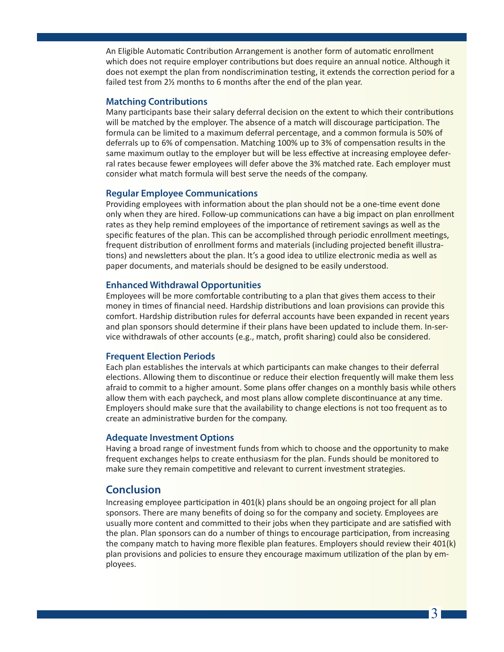An Eligible Automatic Contribution Arrangement is another form of automatic enrollment which does not require employer contributions but does require an annual notice. Although it does not exempt the plan from nondiscrimination testing, it extends the correction period for a failed test from  $2\frac{1}{2}$  months to 6 months after the end of the plan year.

### **Matching Contributions**

Many participants base their salary deferral decision on the extent to which their contributions will be matched by the employer. The absence of a match will discourage participation. The formula can be limited to a maximum deferral percentage, and a common formula is 50% of deferrals up to 6% of compensation. Matching 100% up to 3% of compensation results in the same maximum outlay to the employer but will be less effective at increasing employee deferral rates because fewer employees will defer above the 3% matched rate. Each employer must consider what match formula will best serve the needs of the company.

#### **Regular Employee Communications**

Providing employees with information about the plan should not be a one-time event done only when they are hired. Follow-up communications can have a big impact on plan enrollment rates as they help remind employees of the importance of retirement savings as well as the specific features of the plan. This can be accomplished through periodic enrollment meetings, frequent distribution of enrollment forms and materials (including projected benefit illustrations) and newsletters about the plan. It's a good idea to utilize electronic media as well as paper documents, and materials should be designed to be easily understood.

## **Enhanced Withdrawal Opportunities**

Employees will be more comfortable contributing to a plan that gives them access to their money in times of financial need. Hardship distributions and loan provisions can provide this comfort. Hardship distribution rules for deferral accounts have been expanded in recent years and plan sponsors should determine if their plans have been updated to include them. In-service withdrawals of other accounts (e.g., match, profit sharing) could also be considered.

#### **Frequent Election Periods**

Each plan establishes the intervals at which participants can make changes to their deferral elections. Allowing them to discontinue or reduce their election frequently will make them less afraid to commit to a higher amount. Some plans offer changes on a monthly basis while others allow them with each paycheck, and most plans allow complete discontinuance at any time. Employers should make sure that the availability to change elections is not too frequent as to create an administrative burden for the company.

#### **Adequate Investment Options**

Having a broad range of investment funds from which to choose and the opportunity to make frequent exchanges helps to create enthusiasm for the plan. Funds should be monitored to make sure they remain competitive and relevant to current investment strategies.

## **Conclusion**

Increasing employee participation in  $401(k)$  plans should be an ongoing project for all plan sponsors. There are many benefits of doing so for the company and society. Employees are usually more content and committed to their jobs when they participate and are satisfied with the plan. Plan sponsors can do a number of things to encourage participation, from increasing the company match to having more flexible plan features. Employers should review their 401(k) plan provisions and policies to ensure they encourage maximum utilization of the plan by employees.

3